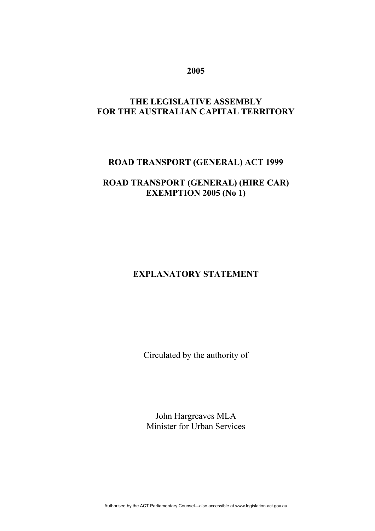### **2005**

## **THE LEGISLATIVE ASSEMBLY FOR THE AUSTRALIAN CAPITAL TERRITORY**

## **ROAD TRANSPORT (GENERAL) ACT 1999**

### **ROAD TRANSPORT (GENERAL) (HIRE CAR) EXEMPTION 2005 (No 1)**

# **EXPLANATORY STATEMENT**

Circulated by the authority of

John Hargreaves MLA Minister for Urban Services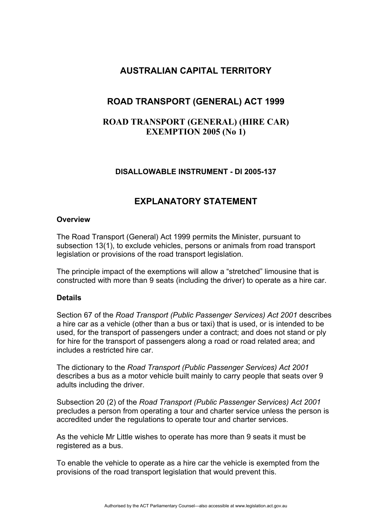## **AUSTRALIAN CAPITAL TERRITORY**

# **ROAD TRANSPORT (GENERAL) ACT 1999**

## **ROAD TRANSPORT (GENERAL) (HIRE CAR) EXEMPTION 2005 (No 1)**

### **DISALLOWABLE INSTRUMENT - DI 2005-137**

## **EXPLANATORY STATEMENT**

#### **Overview**

The Road Transport (General) Act 1999 permits the Minister, pursuant to subsection 13(1), to exclude vehicles, persons or animals from road transport legislation or provisions of the road transport legislation.

The principle impact of the exemptions will allow a "stretched" limousine that is constructed with more than 9 seats (including the driver) to operate as a hire car.

#### **Details**

Section 67 of the *Road Transport (Public Passenger Services) Act 2001* describes a hire car as a vehicle (other than a bus or taxi) that is used, or is intended to be used, for the transport of passengers under a contract; and does not stand or ply for hire for the transport of passengers along a road or road related area; and includes a restricted hire car.

The dictionary to the *Road Transport (Public Passenger Services) Act 2001* describes a bus as a motor vehicle built mainly to carry people that seats over 9 adults including the driver.

Subsection 20 (2) of the *Road Transport (Public Passenger Services) Act 2001* precludes a person from operating a tour and charter service unless the person is accredited under the regulations to operate tour and charter services.

As the vehicle Mr Little wishes to operate has more than 9 seats it must be registered as a bus.

To enable the vehicle to operate as a hire car the vehicle is exempted from the provisions of the road transport legislation that would prevent this.